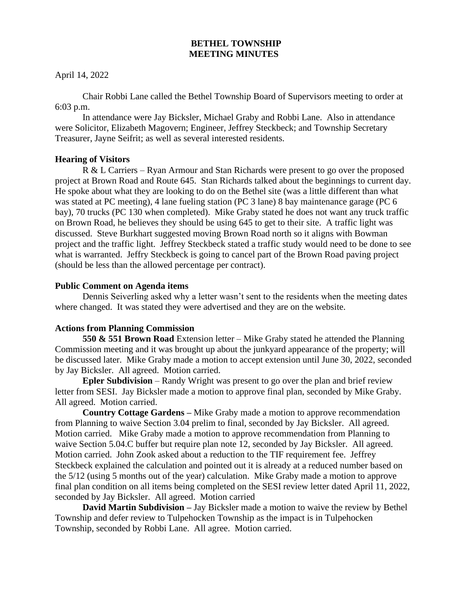# **BETHEL TOWNSHIP MEETING MINUTES**

April 14, 2022

Chair Robbi Lane called the Bethel Township Board of Supervisors meeting to order at 6:03 p.m.

In attendance were Jay Bicksler, Michael Graby and Robbi Lane. Also in attendance were Solicitor, Elizabeth Magovern; Engineer, Jeffrey Steckbeck; and Township Secretary Treasurer, Jayne Seifrit; as well as several interested residents.

## **Hearing of Visitors**

R & L Carriers – Ryan Armour and Stan Richards were present to go over the proposed project at Brown Road and Route 645. Stan Richards talked about the beginnings to current day. He spoke about what they are looking to do on the Bethel site (was a little different than what was stated at PC meeting), 4 lane fueling station (PC 3 lane) 8 bay maintenance garage (PC 6 bay), 70 trucks (PC 130 when completed). Mike Graby stated he does not want any truck traffic on Brown Road, he believes they should be using 645 to get to their site. A traffic light was discussed. Steve Burkhart suggested moving Brown Road north so it aligns with Bowman project and the traffic light. Jeffrey Steckbeck stated a traffic study would need to be done to see what is warranted. Jeffry Steckbeck is going to cancel part of the Brown Road paving project (should be less than the allowed percentage per contract).

## **Public Comment on Agenda items**

Dennis Seiverling asked why a letter wasn't sent to the residents when the meeting dates where changed. It was stated they were advertised and they are on the website.

# **Actions from Planning Commission**

**550 & 551 Brown Road** Extension letter – Mike Graby stated he attended the Planning Commission meeting and it was brought up about the junkyard appearance of the property; will be discussed later. Mike Graby made a motion to accept extension until June 30, 2022, seconded by Jay Bicksler. All agreed. Motion carried.

**Epler Subdivision** – Randy Wright was present to go over the plan and brief review letter from SESI. Jay Bicksler made a motion to approve final plan, seconded by Mike Graby. All agreed. Motion carried.

**Country Cottage Gardens –** Mike Graby made a motion to approve recommendation from Planning to waive Section 3.04 prelim to final, seconded by Jay Bicksler. All agreed. Motion carried. Mike Graby made a motion to approve recommendation from Planning to waive Section 5.04.C buffer but require plan note 12, seconded by Jay Bicksler. All agreed. Motion carried. John Zook asked about a reduction to the TIF requirement fee. Jeffrey Steckbeck explained the calculation and pointed out it is already at a reduced number based on the 5/12 (using 5 months out of the year) calculation. Mike Graby made a motion to approve final plan condition on all items being completed on the SESI review letter dated April 11, 2022, seconded by Jay Bicksler. All agreed. Motion carried

**David Martin Subdivision –** Jay Bicksler made a motion to waive the review by Bethel Township and defer review to Tulpehocken Township as the impact is in Tulpehocken Township, seconded by Robbi Lane. All agree. Motion carried.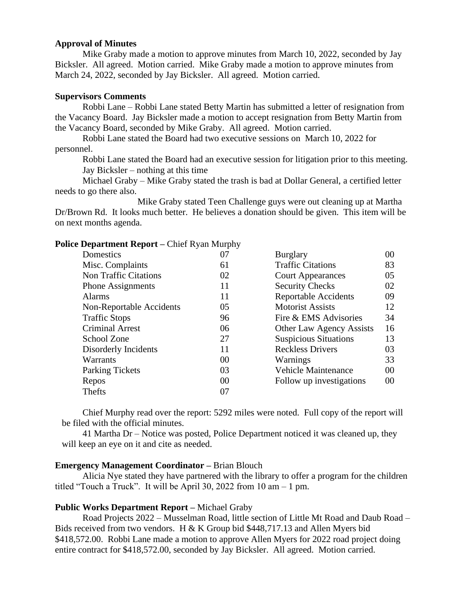### **Approval of Minutes**

Mike Graby made a motion to approve minutes from March 10, 2022, seconded by Jay Bicksler. All agreed. Motion carried. Mike Graby made a motion to approve minutes from March 24, 2022, seconded by Jay Bicksler. All agreed. Motion carried.

## **Supervisors Comments**

Robbi Lane – Robbi Lane stated Betty Martin has submitted a letter of resignation from the Vacancy Board. Jay Bicksler made a motion to accept resignation from Betty Martin from the Vacancy Board, seconded by Mike Graby. All agreed. Motion carried.

Robbi Lane stated the Board had two executive sessions on March 10, 2022 for personnel.

Robbi Lane stated the Board had an executive session for litigation prior to this meeting. Jay Bicksler – nothing at this time

Michael Graby – Mike Graby stated the trash is bad at Dollar General, a certified letter needs to go there also.

Mike Graby stated Teen Challenge guys were out cleaning up at Martha Dr/Brown Rd. It looks much better. He believes a donation should be given. This item will be on next months agenda.

# **Police Department Report –** Chief Ryan Murphy

| Domestics                    | 07 | <b>Burglary</b>                 | 00 |
|------------------------------|----|---------------------------------|----|
| Misc. Complaints             | 61 | <b>Traffic Citations</b>        | 83 |
| <b>Non Traffic Citations</b> | 02 | <b>Court Appearances</b>        | 05 |
| <b>Phone Assignments</b>     | 11 | <b>Security Checks</b>          | 02 |
| Alarms                       | 11 | <b>Reportable Accidents</b>     | 09 |
| Non-Reportable Accidents     | 05 | <b>Motorist Assists</b>         | 12 |
| <b>Traffic Stops</b>         | 96 | Fire & EMS Advisories           | 34 |
| <b>Criminal Arrest</b>       | 06 | <b>Other Law Agency Assists</b> | 16 |
| School Zone                  | 27 | <b>Suspicious Situations</b>    | 13 |
| Disorderly Incidents         | 11 | <b>Reckless Drivers</b>         | 03 |
| Warrants                     | 00 | Warnings                        | 33 |
| <b>Parking Tickets</b>       | 03 | <b>Vehicle Maintenance</b>      | 00 |
| Repos                        | 00 | Follow up investigations        | 00 |
| Thefts                       | 07 |                                 |    |
|                              |    |                                 |    |

Chief Murphy read over the report: 5292 miles were noted. Full copy of the report will be filed with the official minutes.

41 Martha Dr – Notice was posted, Police Department noticed it was cleaned up, they will keep an eye on it and cite as needed.

# **Emergency Management Coordinator –** Brian Blouch

Alicia Nye stated they have partnered with the library to offer a program for the children titled "Touch a Truck". It will be April 30, 2022 from 10 am – 1 pm.

# **Public Works Department Report –** Michael Graby

Road Projects 2022 – Musselman Road, little section of Little Mt Road and Daub Road – Bids received from two vendors. H & K Group bid \$448,717.13 and Allen Myers bid \$418,572.00. Robbi Lane made a motion to approve Allen Myers for 2022 road project doing entire contract for \$418,572.00, seconded by Jay Bicksler. All agreed. Motion carried.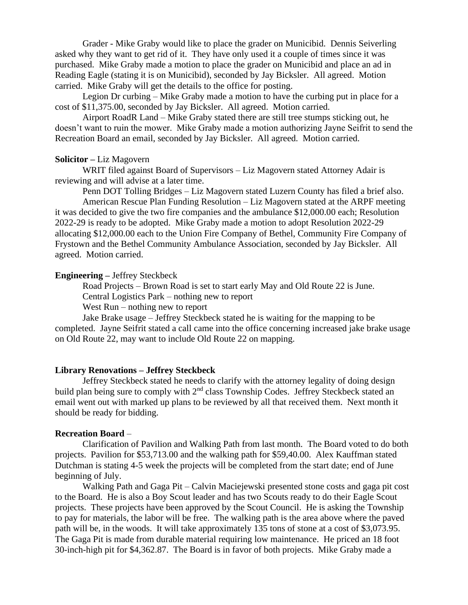Grader - Mike Graby would like to place the grader on Municibid. Dennis Seiverling asked why they want to get rid of it. They have only used it a couple of times since it was purchased. Mike Graby made a motion to place the grader on Municibid and place an ad in Reading Eagle (stating it is on Municibid), seconded by Jay Bicksler. All agreed. Motion carried. Mike Graby will get the details to the office for posting.

Legion Dr curbing – Mike Graby made a motion to have the curbing put in place for a cost of \$11,375.00, seconded by Jay Bicksler. All agreed. Motion carried.

Airport RoadR Land – Mike Graby stated there are still tree stumps sticking out, he doesn't want to ruin the mower. Mike Graby made a motion authorizing Jayne Seifrit to send the Recreation Board an email, seconded by Jay Bicksler. All agreed. Motion carried.

### **Solicitor –** Liz Magovern

WRIT filed against Board of Supervisors – Liz Magovern stated Attorney Adair is reviewing and will advise at a later time.

Penn DOT Tolling Bridges – Liz Magovern stated Luzern County has filed a brief also. American Rescue Plan Funding Resolution – Liz Magovern stated at the ARPF meeting it was decided to give the two fire companies and the ambulance \$12,000.00 each; Resolution 2022-29 is ready to be adopted. Mike Graby made a motion to adopt Resolution 2022-29 allocating \$12,000.00 each to the Union Fire Company of Bethel, Community Fire Company of Frystown and the Bethel Community Ambulance Association, seconded by Jay Bicksler. All agreed. Motion carried.

#### **Engineering –** Jeffrey Steckbeck

Road Projects – Brown Road is set to start early May and Old Route 22 is June. Central Logistics Park – nothing new to report

West Run – nothing new to report

Jake Brake usage – Jeffrey Steckbeck stated he is waiting for the mapping to be completed. Jayne Seifrit stated a call came into the office concerning increased jake brake usage on Old Route 22, may want to include Old Route 22 on mapping.

#### **Library Renovations – Jeffrey Steckbeck**

Jeffrey Steckbeck stated he needs to clarify with the attorney legality of doing design build plan being sure to comply with 2<sup>nd</sup> class Township Codes. Jeffrey Steckbeck stated an email went out with marked up plans to be reviewed by all that received them. Next month it should be ready for bidding.

#### **Recreation Board** –

Clarification of Pavilion and Walking Path from last month. The Board voted to do both projects. Pavilion for \$53,713.00 and the walking path for \$59,40.00. Alex Kauffman stated Dutchman is stating 4-5 week the projects will be completed from the start date; end of June beginning of July.

Walking Path and Gaga Pit – Calvin Maciejewski presented stone costs and gaga pit cost to the Board. He is also a Boy Scout leader and has two Scouts ready to do their Eagle Scout projects. These projects have been approved by the Scout Council. He is asking the Township to pay for materials, the labor will be free. The walking path is the area above where the paved path will be, in the woods. It will take approximately 135 tons of stone at a cost of \$3,073.95. The Gaga Pit is made from durable material requiring low maintenance. He priced an 18 foot 30-inch-high pit for \$4,362.87. The Board is in favor of both projects. Mike Graby made a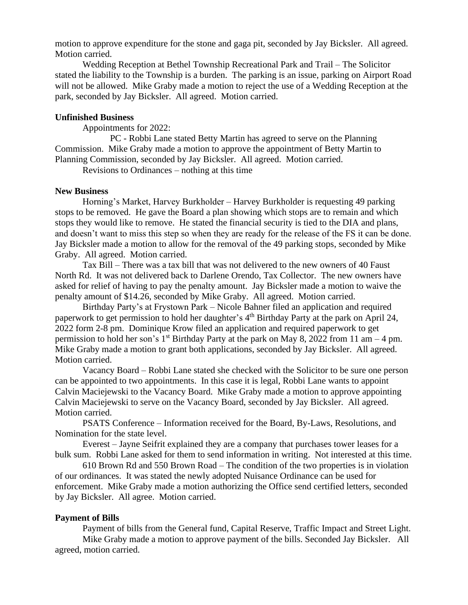motion to approve expenditure for the stone and gaga pit, seconded by Jay Bicksler. All agreed. Motion carried.

Wedding Reception at Bethel Township Recreational Park and Trail – The Solicitor stated the liability to the Township is a burden. The parking is an issue, parking on Airport Road will not be allowed. Mike Graby made a motion to reject the use of a Wedding Reception at the park, seconded by Jay Bicksler. All agreed. Motion carried.

### **Unfinished Business**

Appointments for 2022:

PC - Robbi Lane stated Betty Martin has agreed to serve on the Planning Commission. Mike Graby made a motion to approve the appointment of Betty Martin to Planning Commission, seconded by Jay Bicksler. All agreed. Motion carried.

Revisions to Ordinances – nothing at this time

#### **New Business**

Horning's Market, Harvey Burkholder – Harvey Burkholder is requesting 49 parking stops to be removed. He gave the Board a plan showing which stops are to remain and which stops they would like to remove. He stated the financial security is tied to the DIA and plans, and doesn't want to miss this step so when they are ready for the release of the FS it can be done. Jay Bicksler made a motion to allow for the removal of the 49 parking stops, seconded by Mike Graby. All agreed. Motion carried.

Tax Bill – There was a tax bill that was not delivered to the new owners of 40 Faust North Rd. It was not delivered back to Darlene Orendo, Tax Collector. The new owners have asked for relief of having to pay the penalty amount. Jay Bicksler made a motion to waive the penalty amount of \$14.26, seconded by Mike Graby. All agreed. Motion carried.

Birthday Party's at Frystown Park – Nicole Bahner filed an application and required paperwork to get permission to hold her daughter's 4<sup>th</sup> Birthday Party at the park on April 24, 2022 form 2-8 pm. Dominique Krow filed an application and required paperwork to get permission to hold her son's  $1<sup>st</sup>$  Birthday Party at the park on May 8, 2022 from 11 am – 4 pm. Mike Graby made a motion to grant both applications, seconded by Jay Bicksler. All agreed. Motion carried.

Vacancy Board – Robbi Lane stated she checked with the Solicitor to be sure one person can be appointed to two appointments. In this case it is legal, Robbi Lane wants to appoint Calvin Maciejewski to the Vacancy Board. Mike Graby made a motion to approve appointing Calvin Maciejewski to serve on the Vacancy Board, seconded by Jay Bicksler. All agreed. Motion carried.

PSATS Conference – Information received for the Board, By-Laws, Resolutions, and Nomination for the state level.

Everest – Jayne Seifrit explained they are a company that purchases tower leases for a bulk sum. Robbi Lane asked for them to send information in writing. Not interested at this time.

610 Brown Rd and 550 Brown Road – The condition of the two properties is in violation of our ordinances. It was stated the newly adopted Nuisance Ordinance can be used for enforcement. Mike Graby made a motion authorizing the Office send certified letters, seconded by Jay Bicksler. All agree. Motion carried.

#### **Payment of Bills**

Payment of bills from the General fund, Capital Reserve, Traffic Impact and Street Light. Mike Graby made a motion to approve payment of the bills. Seconded Jay Bicksler. All agreed, motion carried.